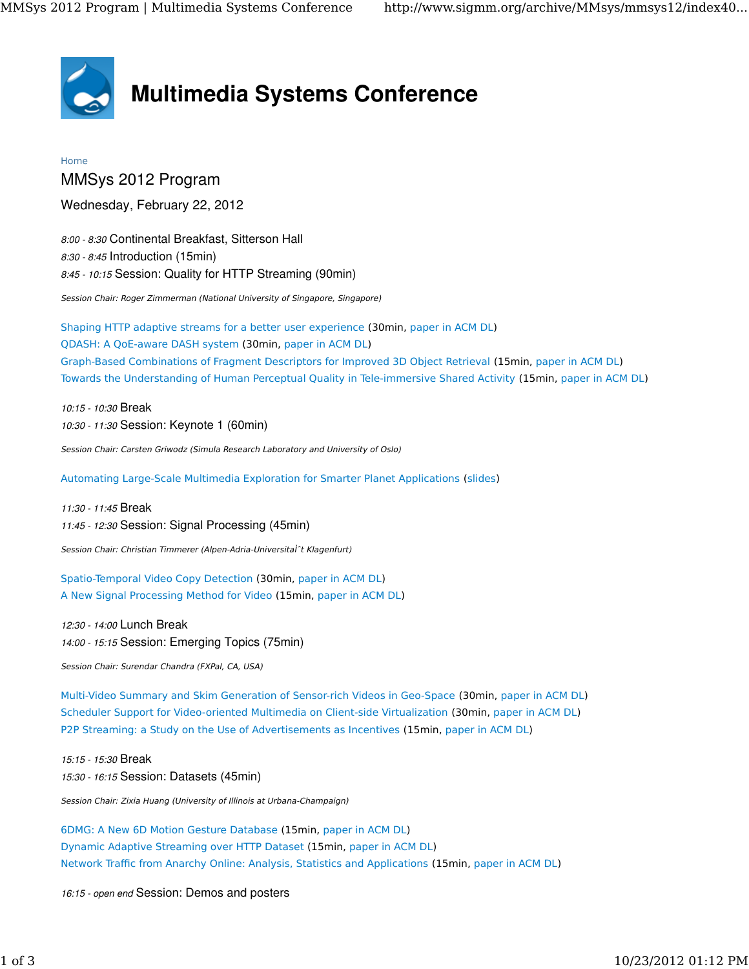

## Multimedia Systems Conference

## Home

MMSys 2012 Program

Wednesday, February 22, 2012

8:00 - 8:30 Continental Breakfast, Sitterson Hall 8:30 - 8:45 Introduction (15min) 8:45 - 10:15 Session: Quality for HTTP Streaming (90min)

Session Chair: Roger Zimmerman (National University of Singapore, Singapore)

Shaping HTTP adaptive streams for a better user experience (30min, paper in ACM DL) QDASH: A QoE-aware DASH system (30min, paper in ACM DL) Graph-Based Combinations of Fragment Descriptors for Improved 3D Object Retrieval (15min, paper in ACM DL) Towards the Understanding of Human Perceptual Quality in Tele-immersive Shared Activity (15min, paper in ACM DL)

10:15 - 10:30 Break 10:30 - 11:30 Session: Keynote 1 (60min)

Session Chair: Carsten Griwodz (Simula Research Laboratory and University of Oslo)

Automating Large-Scale Multimedia Exploration for Smarter Planet Applications (slides)

11:30 - 11:45 Break 11:45 - 12:30 Session: Signal Processing (45min)

Session Chair: Christian Timmerer (Alpen-Adria-Universital<sup>\*</sup>t Klagenfurt)

Spatio-Temporal Video Copy Detection (30min, paper in ACM DL) A New Signal Processing Method for Video (15min, paper in ACM DL)

12:30 - 14:00 Lunch Break 14:00 - 15:15 Session: Emerging Topics (75min)

Session Chair: Surendar Chandra (FXPal, CA, USA)

Multi-Video Summary and Skim Generation of Sensor-rich Videos in Geo-Space (30min, paper in ACM DL) Scheduler Support for Video-oriented Multimedia on Client-side Virtualization (30min, paper in ACM DL) P2P Streaming: a Study on the Use of Advertisements as Incentives (15min, paper in ACM DL)

15:15 - 15:30 Break 15:30 - 16:15 Session: Datasets (45min)

Session Chair: Zixia Huang (University of Illinois at Urbana-Champaign)

6DMG: A New 6D Motion Gesture Database (15min, paper in ACM DL) Dynamic Adaptive Streaming over HTTP Dataset (15min, paper in ACM DL) Network Traffic from Anarchy Online: Analysis, Statistics and Applications (15min, paper in ACM DL)

16:15 - open end Session: Demos and posters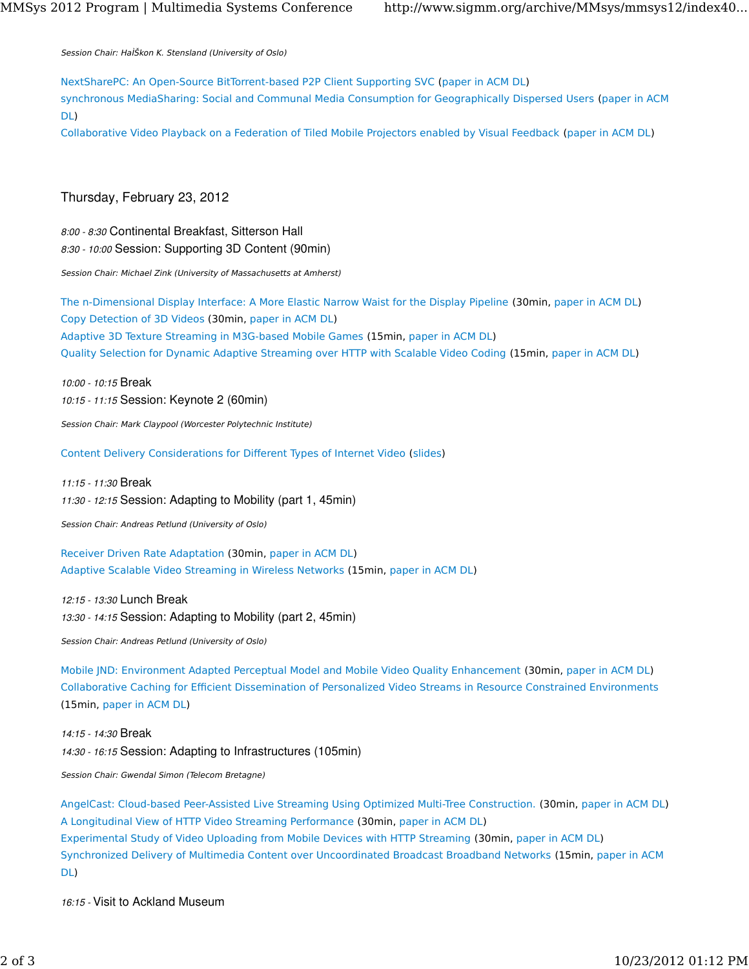Session Chair: HaÌŠkon K. Stensland (University of Oslo)

NextSharePC: An Open-Source BitTorrent-based P2P Client Supporting SVC (paper in ACM DL) synchronous MediaSharing: Social and Communal Media Consumption for Geographically Dispersed Users (paper in ACM DL)

Collaborative Video Playback on a Federation of Tiled Mobile Projectors enabled by Visual Feedback (paper in ACM DL)

## Thursday, February 23, 2012

8:00 - 8:30 Continental Breakfast, Sitterson Hall 8:30 - 10:00 Session: Supporting 3D Content (90min)

Session Chair: Michael Zink (University of Massachusetts at Amherst)

The n-Dimensional Display Interface: A More Elastic Narrow Waist for the Display Pipeline (30min, paper in ACM DL) Copy Detection of 3D Videos (30min, paper in ACM DL) Adaptive 3D Texture Streaming in M3G-based Mobile Games (15min, paper in ACM DL) Quality Selection for Dynamic Adaptive Streaming over HTTP with Scalable Video Coding (15min, paper in ACM DL)

10:00 - 10:15 Break 10:15 - 11:15 Session: Keynote 2 (60min)

Session Chair: Mark Claypool (Worcester Polytechnic Institute)

Content Delivery Considerations for Different Types of Internet Video (slides)

11:15 - 11:30 Break 11:30 - 12:15 Session: Adapting to Mobility (part 1, 45min)

Session Chair: Andreas Petlund (University of Oslo)

Receiver Driven Rate Adaptation (30min, paper in ACM DL) Adaptive Scalable Video Streaming in Wireless Networks (15min, paper in ACM DL)

12:15 - 13:30 Lunch Break 13:30 - 14:15 Session: Adapting to Mobility (part 2, 45min)

Session Chair: Andreas Petlund (University of Oslo)

Mobile JND: Environment Adapted Perceptual Model and Mobile Video Quality Enhancement (30min, paper in ACM DL) Collaborative Caching for Efficient Dissemination of Personalized Video Streams in Resource Constrained Environments (15min, paper in ACM DL)

14:15 - 14:30 Break 14:30 - 16:15 Session: Adapting to Infrastructures (105min)

Session Chair: Gwendal Simon (Telecom Bretagne)

AngelCast: Cloud-based Peer-Assisted Live Streaming Using Optimized Multi-Tree Construction. (30min, paper in ACM DL) A Longitudinal View of HTTP Video Streaming Performance (30min, paper in ACM DL) Experimental Study of Video Uploading from Mobile Devices with HTTP Streaming (30min, paper in ACM DL) Synchronized Delivery of Multimedia Content over Uncoordinated Broadcast Broadband Networks (15min, paper in ACM DL)

16:15 - Visit to Ackland Museum